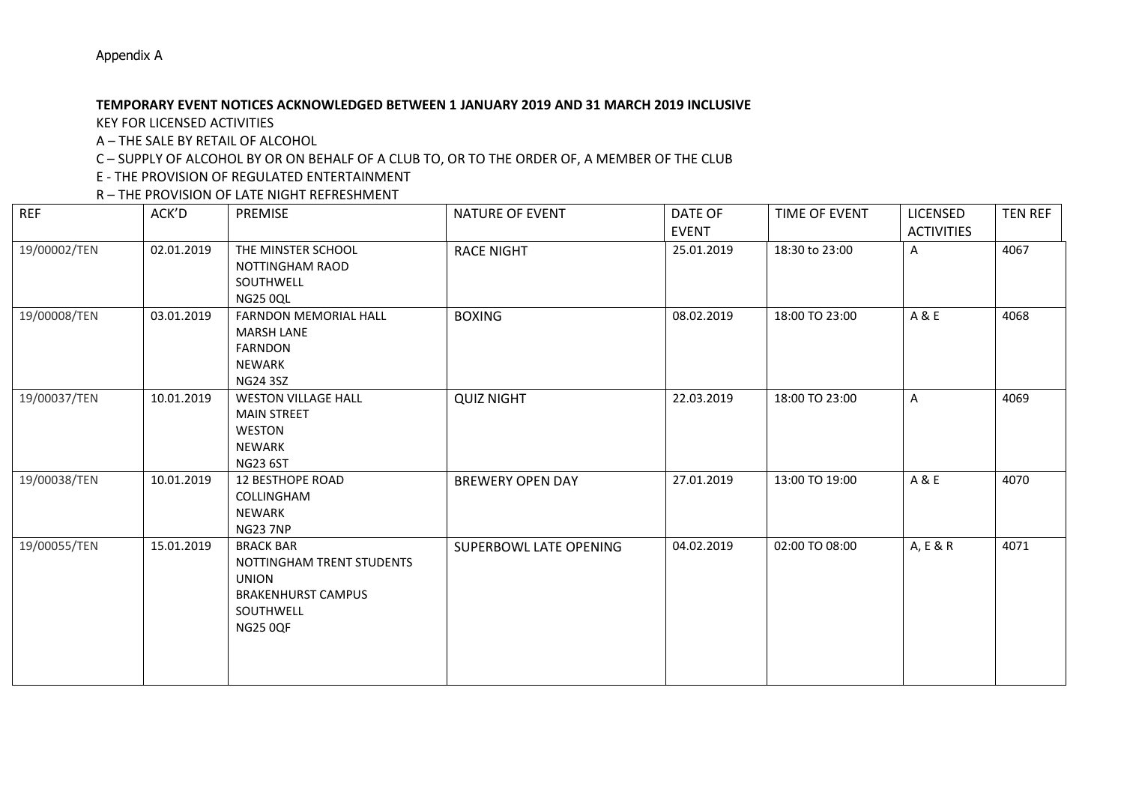## **TEMPORARY EVENT NOTICES ACKNOWLEDGED BETWEEN 1 JANUARY 2019 AND 31 MARCH 2019 INCLUSIVE**

KEY FOR LICENSED ACTIVITIES

A – THE SALE BY RETAIL OF ALCOHOL

C – SUPPLY OF ALCOHOL BY OR ON BEHALF OF A CLUB TO, OR TO THE ORDER OF, A MEMBER OF THE CLUB

E - THE PROVISION OF REGULATED ENTERTAINMENT

R – THE PROVISION OF LATE NIGHT REFRESHMENT

| <b>REF</b>   | ACK'D      | <b>PREMISE</b>                                                                                                             | <b>NATURE OF EVENT</b>  | DATE OF<br><b>EVENT</b> | TIME OF EVENT  | LICENSED<br><b>ACTIVITIES</b> | <b>TEN REF</b> |
|--------------|------------|----------------------------------------------------------------------------------------------------------------------------|-------------------------|-------------------------|----------------|-------------------------------|----------------|
| 19/00002/TEN | 02.01.2019 | THE MINSTER SCHOOL<br><b>NOTTINGHAM RAOD</b><br>SOUTHWELL<br><b>NG25 0QL</b>                                               | <b>RACE NIGHT</b>       | 25.01.2019              | 18:30 to 23:00 | A                             | 4067           |
| 19/00008/TEN | 03.01.2019 | FARNDON MEMORIAL HALL<br><b>MARSH LANE</b><br><b>FARNDON</b><br><b>NEWARK</b><br><b>NG24 3SZ</b>                           | <b>BOXING</b>           | 08.02.2019              | 18:00 TO 23:00 | A & E                         | 4068           |
| 19/00037/TEN | 10.01.2019 | <b>WESTON VILLAGE HALL</b><br><b>MAIN STREET</b><br><b>WESTON</b><br><b>NEWARK</b><br><b>NG23 6ST</b>                      | <b>QUIZ NIGHT</b>       | 22.03.2019              | 18:00 TO 23:00 | $\mathsf{A}$                  | 4069           |
| 19/00038/TEN | 10.01.2019 | <b>12 BESTHOPE ROAD</b><br>COLLINGHAM<br><b>NEWARK</b><br><b>NG23 7NP</b>                                                  | <b>BREWERY OPEN DAY</b> | 27.01.2019              | 13:00 TO 19:00 | A & E                         | 4070           |
| 19/00055/TEN | 15.01.2019 | <b>BRACK BAR</b><br>NOTTINGHAM TRENT STUDENTS<br><b>UNION</b><br><b>BRAKENHURST CAMPUS</b><br>SOUTHWELL<br><b>NG25 0QF</b> | SUPERBOWL LATE OPENING  | 04.02.2019              | 02:00 TO 08:00 | A, E & R                      | 4071           |

Appendix A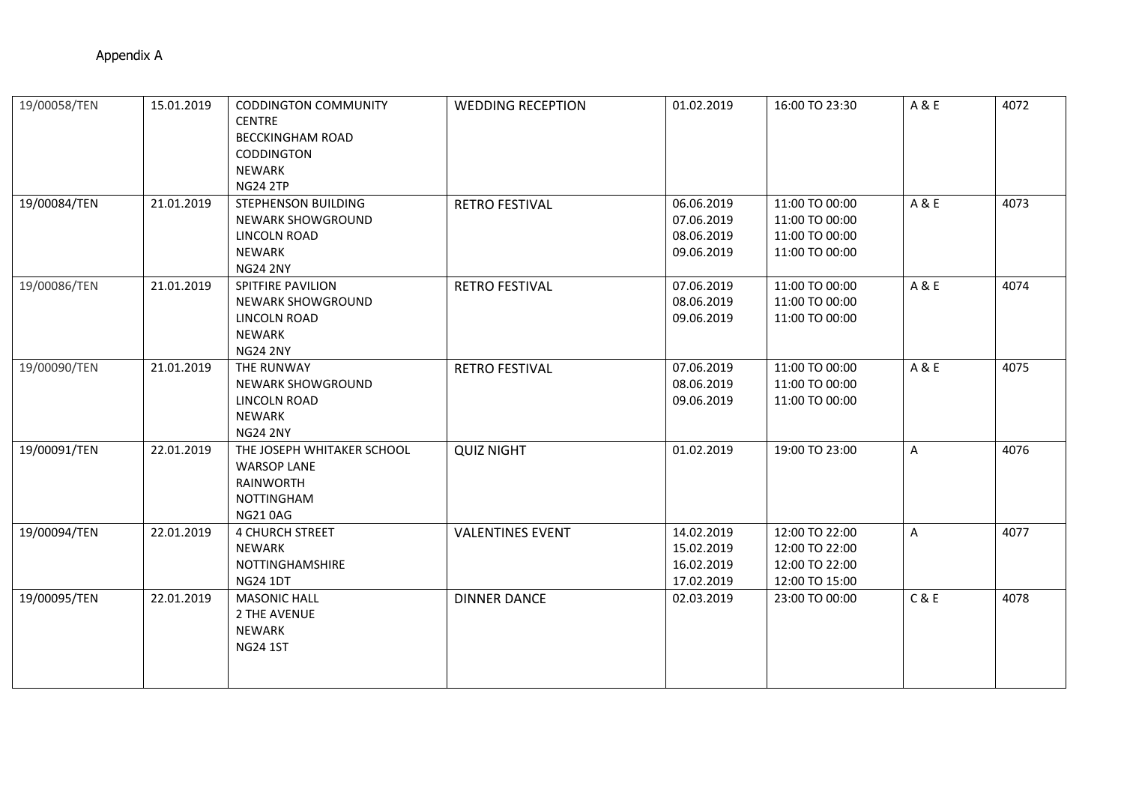| 19/00058/TEN | 15.01.2019 | <b>CODDINGTON COMMUNITY</b><br><b>CENTRE</b><br><b>BECCKINGHAM ROAD</b><br>CODDINGTON<br><b>NEWARK</b><br><b>NG24 2TP</b> | <b>WEDDING RECEPTION</b> | 01.02.2019                                           | 16:00 TO 23:30                                                       | A & E | 4072 |
|--------------|------------|---------------------------------------------------------------------------------------------------------------------------|--------------------------|------------------------------------------------------|----------------------------------------------------------------------|-------|------|
| 19/00084/TEN | 21.01.2019 | <b>STEPHENSON BUILDING</b><br><b>NEWARK SHOWGROUND</b><br><b>LINCOLN ROAD</b><br>NEWARK<br><b>NG24 2NY</b>                | <b>RETRO FESTIVAL</b>    | 06.06.2019<br>07.06.2019<br>08.06.2019<br>09.06.2019 | 11:00 TO 00:00<br>11:00 TO 00:00<br>11:00 TO 00:00<br>11:00 TO 00:00 | A & E | 4073 |
| 19/00086/TEN | 21.01.2019 | <b>SPITFIRE PAVILION</b><br>NEWARK SHOWGROUND<br><b>LINCOLN ROAD</b><br>NEWARK<br><b>NG24 2NY</b>                         | <b>RETRO FESTIVAL</b>    | 07.06.2019<br>08.06.2019<br>09.06.2019               | 11:00 TO 00:00<br>11:00 TO 00:00<br>11:00 TO 00:00                   | A & E | 4074 |
| 19/00090/TEN | 21.01.2019 | THE RUNWAY<br>NEWARK SHOWGROUND<br>LINCOLN ROAD<br>NEWARK<br><b>NG24 2NY</b>                                              | <b>RETRO FESTIVAL</b>    | 07.06.2019<br>08.06.2019<br>09.06.2019               | 11:00 TO 00:00<br>11:00 TO 00:00<br>11:00 TO 00:00                   | A & E | 4075 |
| 19/00091/TEN | 22.01.2019 | THE JOSEPH WHITAKER SCHOOL<br><b>WARSOP LANE</b><br>RAINWORTH<br><b>NOTTINGHAM</b><br><b>NG210AG</b>                      | <b>QUIZ NIGHT</b>        | 01.02.2019                                           | 19:00 TO 23:00                                                       | A     | 4076 |
| 19/00094/TEN | 22.01.2019 | <b>4 CHURCH STREET</b><br><b>NEWARK</b><br>NOTTINGHAMSHIRE<br><b>NG24 1DT</b>                                             | <b>VALENTINES EVENT</b>  | 14.02.2019<br>15.02.2019<br>16.02.2019<br>17.02.2019 | 12:00 TO 22:00<br>12:00 TO 22:00<br>12:00 TO 22:00<br>12:00 TO 15:00 | A     | 4077 |
| 19/00095/TEN | 22.01.2019 | <b>MASONIC HALL</b><br>2 THE AVENUE<br>NEWARK<br><b>NG24 1ST</b>                                                          | <b>DINNER DANCE</b>      | 02.03.2019                                           | 23:00 TO 00:00                                                       | C & E | 4078 |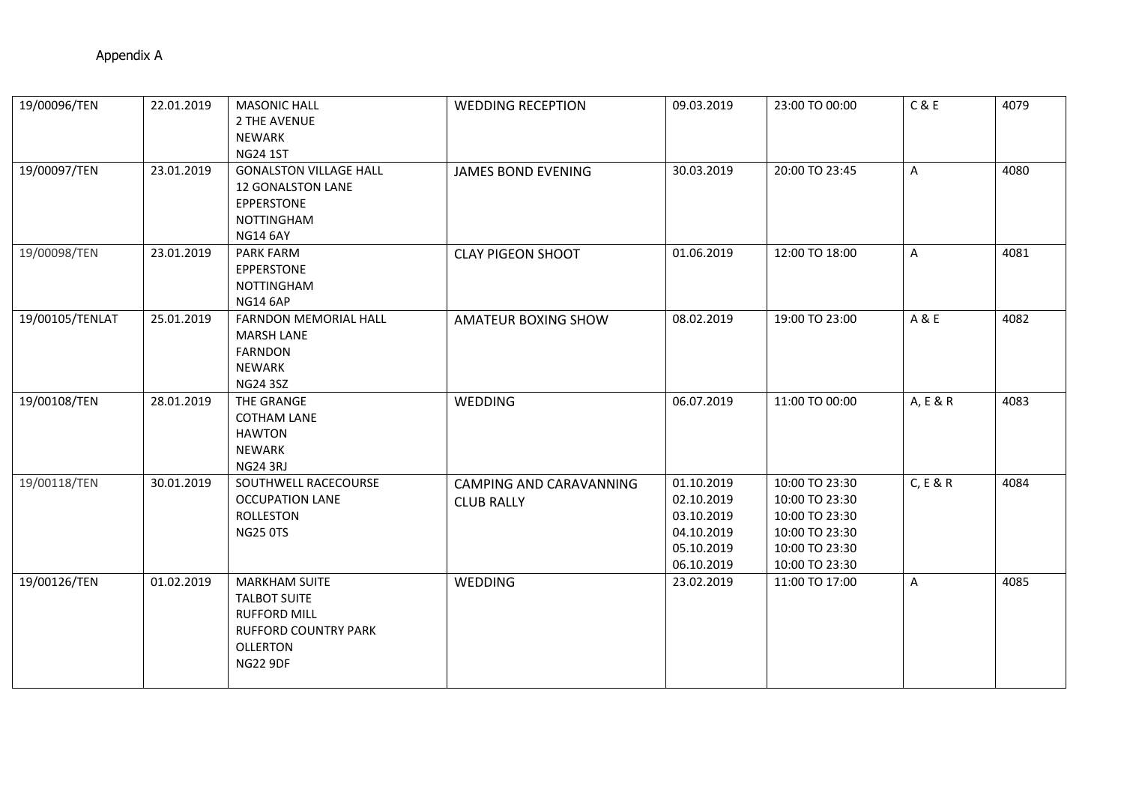| 19/00096/TEN    | 22.01.2019 | <b>MASONIC HALL</b><br>2 THE AVENUE<br><b>NEWARK</b><br><b>NG24 1ST</b>                                                                 | <b>WEDDING RECEPTION</b>                     | 09.03.2019                                                                       | 23:00 TO 00:00                                                                                           | C & E    | 4079 |
|-----------------|------------|-----------------------------------------------------------------------------------------------------------------------------------------|----------------------------------------------|----------------------------------------------------------------------------------|----------------------------------------------------------------------------------------------------------|----------|------|
| 19/00097/TEN    | 23.01.2019 | <b>GONALSTON VILLAGE HALL</b><br><b>12 GONALSTON LANE</b><br>EPPERSTONE<br><b>NOTTINGHAM</b><br><b>NG14 6AY</b>                         | <b>JAMES BOND EVENING</b>                    | 30.03.2019                                                                       | 20:00 TO 23:45                                                                                           | A        | 4080 |
| 19/00098/TEN    | 23.01.2019 | PARK FARM<br>EPPERSTONE<br><b>NOTTINGHAM</b><br><b>NG14 6AP</b>                                                                         | <b>CLAY PIGEON SHOOT</b>                     | 01.06.2019                                                                       | 12:00 TO 18:00                                                                                           | A        | 4081 |
| 19/00105/TENLAT | 25.01.2019 | <b>FARNDON MEMORIAL HALL</b><br><b>MARSH LANE</b><br><b>FARNDON</b><br><b>NEWARK</b><br><b>NG24 3SZ</b>                                 | AMATEUR BOXING SHOW                          | 08.02.2019                                                                       | 19:00 TO 23:00                                                                                           | A & E    | 4082 |
| 19/00108/TEN    | 28.01.2019 | THE GRANGE<br><b>COTHAM LANE</b><br><b>HAWTON</b><br><b>NEWARK</b><br>NG24 3RJ                                                          | WEDDING                                      | 06.07.2019                                                                       | 11:00 TO 00:00                                                                                           | A, E & R | 4083 |
| 19/00118/TEN    | 30.01.2019 | SOUTHWELL RACECOURSE<br><b>OCCUPATION LANE</b><br><b>ROLLESTON</b><br><b>NG25 0TS</b>                                                   | CAMPING AND CARAVANNING<br><b>CLUB RALLY</b> | 01.10.2019<br>02.10.2019<br>03.10.2019<br>04.10.2019<br>05.10.2019<br>06.10.2019 | 10:00 TO 23:30<br>10:00 TO 23:30<br>10:00 TO 23:30<br>10:00 TO 23:30<br>10:00 TO 23:30<br>10:00 TO 23:30 | C, E & R | 4084 |
| 19/00126/TEN    | 01.02.2019 | <b>MARKHAM SUITE</b><br><b>TALBOT SUITE</b><br><b>RUFFORD MILL</b><br><b>RUFFORD COUNTRY PARK</b><br><b>OLLERTON</b><br><b>NG22 9DF</b> | <b>WEDDING</b>                               | 23.02.2019                                                                       | 11:00 TO 17:00                                                                                           | A        | 4085 |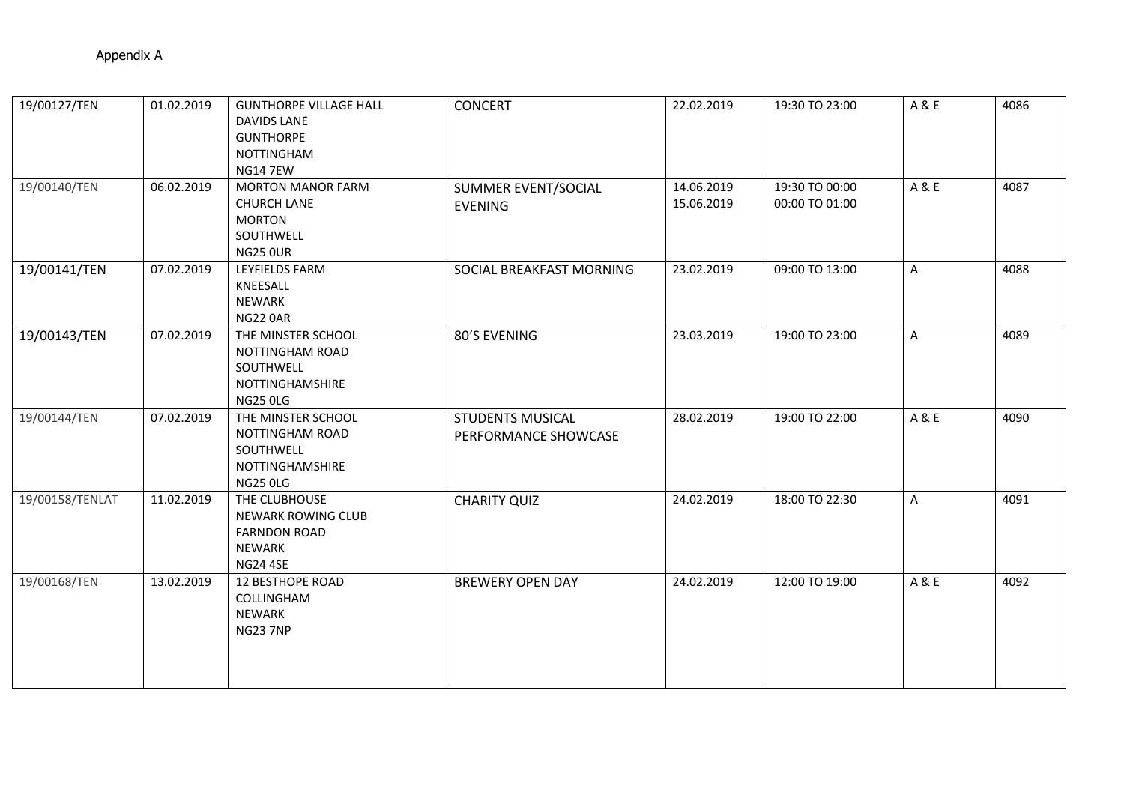| 19/00127/TEN    | 01.02.2019 | <b>GUNTHORPE VILLAGE HALL</b><br><b>DAVIDS LANE</b><br><b>GUNTHORPE</b><br>NOTTINGHAM<br><b>NG14 7EW</b> | <b>CONCERT</b>                                  | 22.02.2019               | 19:30 TO 23:00                   | A&E   | 4086 |
|-----------------|------------|----------------------------------------------------------------------------------------------------------|-------------------------------------------------|--------------------------|----------------------------------|-------|------|
| 19/00140/TEN    | 06.02.2019 | <b>MORTON MANOR FARM</b><br><b>CHURCH LANE</b><br><b>MORTON</b><br>SOUTHWELL<br><b>NG25 OUR</b>          | SUMMER EVENT/SOCIAL<br><b>EVENING</b>           | 14.06.2019<br>15.06.2019 | 19:30 TO 00:00<br>00:00 TO 01:00 | A & E | 4087 |
| 19/00141/TEN    | 07.02.2019 | <b>LEYFIELDS FARM</b><br>KNEESALL<br>NEWARK<br><b>NG22 0AR</b>                                           | SOCIAL BREAKFAST MORNING                        | 23.02.2019               | 09:00 TO 13:00                   | A     | 4088 |
| 19/00143/TEN    | 07.02.2019 | THE MINSTER SCHOOL<br>NOTTINGHAM ROAD<br>SOUTHWELL<br>NOTTINGHAMSHIRE<br><b>NG25 0LG</b>                 | 80'S EVENING                                    | 23.03.2019               | 19:00 TO 23:00                   | A     | 4089 |
| 19/00144/TEN    | 07.02.2019 | THE MINSTER SCHOOL<br>NOTTINGHAM ROAD<br>SOUTHWELL<br>NOTTINGHAMSHIRE<br><b>NG25 0LG</b>                 | <b>STUDENTS MUSICAL</b><br>PERFORMANCE SHOWCASE | 28.02.2019               | 19:00 TO 22:00                   | A & E | 4090 |
| 19/00158/TENLAT | 11.02.2019 | THE CLUBHOUSE<br><b>NEWARK ROWING CLUB</b><br><b>FARNDON ROAD</b><br>NEWARK<br><b>NG24 4SE</b>           | <b>CHARITY QUIZ</b>                             | 24.02.2019               | 18:00 TO 22:30                   | A     | 4091 |
| 19/00168/TEN    | 13.02.2019 | <b>12 BESTHOPE ROAD</b><br>COLLINGHAM<br><b>NEWARK</b><br><b>NG23 7NP</b>                                | <b>BREWERY OPEN DAY</b>                         | 24.02.2019               | 12:00 TO 19:00                   | A & E | 4092 |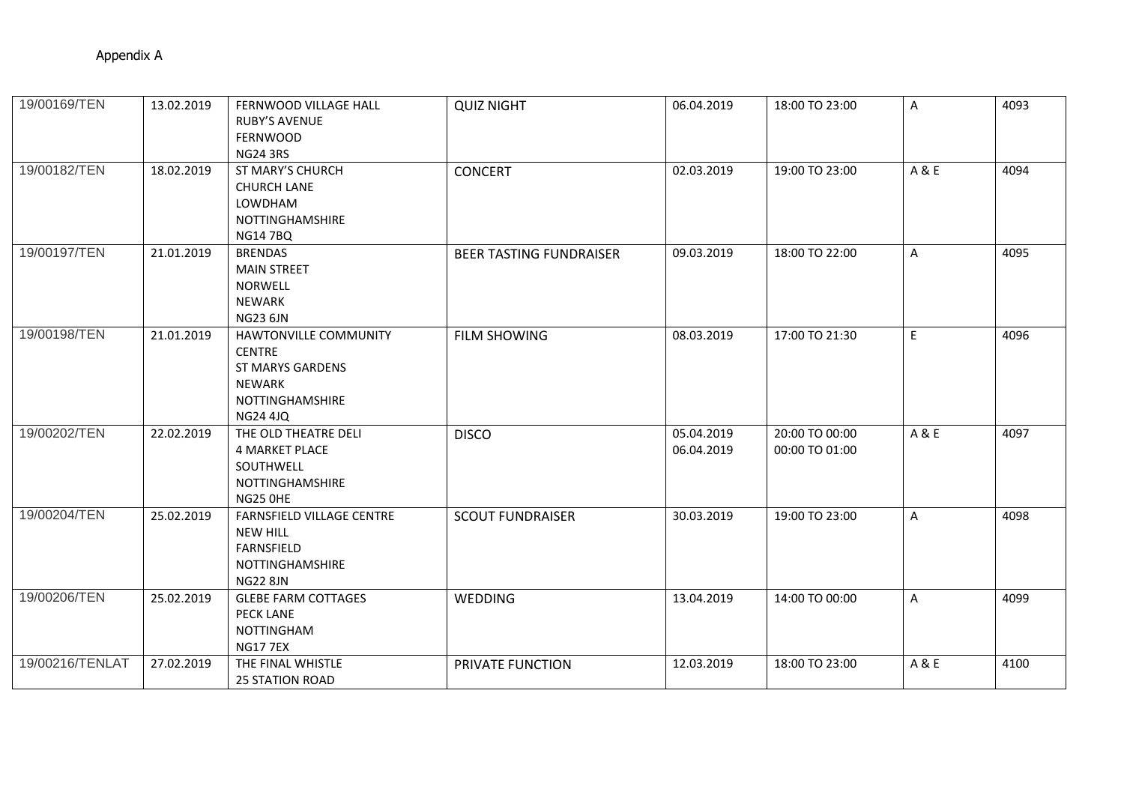| 19/00169/TEN    | 13.02.2019 | FERNWOOD VILLAGE HALL<br><b>RUBY'S AVENUE</b><br><b>FERNWOOD</b><br><b>NG24 3RS</b>                                             | <b>QUIZ NIGHT</b>              | 06.04.2019               | 18:00 TO 23:00                   | A            | 4093 |
|-----------------|------------|---------------------------------------------------------------------------------------------------------------------------------|--------------------------------|--------------------------|----------------------------------|--------------|------|
| 19/00182/TEN    | 18.02.2019 | <b>ST MARY'S CHURCH</b><br><b>CHURCH LANE</b><br>LOWDHAM<br>NOTTINGHAMSHIRE<br><b>NG147BQ</b>                                   | <b>CONCERT</b>                 | 02.03.2019               | 19:00 TO 23:00                   | A & E        | 4094 |
| 19/00197/TEN    | 21.01.2019 | <b>BRENDAS</b><br><b>MAIN STREET</b><br><b>NORWELL</b><br>NEWARK<br><b>NG23 6JN</b>                                             | <b>BEER TASTING FUNDRAISER</b> | 09.03.2019               | 18:00 TO 22:00                   | $\mathsf{A}$ | 4095 |
| 19/00198/TEN    | 21.01.2019 | <b>HAWTONVILLE COMMUNITY</b><br><b>CENTRE</b><br><b>ST MARYS GARDENS</b><br><b>NEWARK</b><br>NOTTINGHAMSHIRE<br><b>NG24 4JQ</b> | <b>FILM SHOWING</b>            | 08.03.2019               | 17:00 TO 21:30                   | E            | 4096 |
| 19/00202/TEN    | 22.02.2019 | THE OLD THEATRE DELI<br>4 MARKET PLACE<br>SOUTHWELL<br><b>NOTTINGHAMSHIRE</b><br><b>NG25 0HE</b>                                | <b>DISCO</b>                   | 05.04.2019<br>06.04.2019 | 20:00 TO 00:00<br>00:00 TO 01:00 | A & E        | 4097 |
| 19/00204/TEN    | 25.02.2019 | FARNSFIELD VILLAGE CENTRE<br><b>NEW HILL</b><br>FARNSFIELD<br>NOTTINGHAMSHIRE<br><b>NG22 8JN</b>                                | <b>SCOUT FUNDRAISER</b>        | 30.03.2019               | 19:00 TO 23:00                   | A            | 4098 |
| 19/00206/TEN    | 25.02.2019 | <b>GLEBE FARM COTTAGES</b><br><b>PECK LANE</b><br><b>NOTTINGHAM</b><br><b>NG177EX</b>                                           | <b>WEDDING</b>                 | 13.04.2019               | 14:00 TO 00:00                   | $\mathsf{A}$ | 4099 |
| 19/00216/TENLAT | 27.02.2019 | THE FINAL WHISTLE<br><b>25 STATION ROAD</b>                                                                                     | PRIVATE FUNCTION               | 12.03.2019               | 18:00 TO 23:00                   | A & E        | 4100 |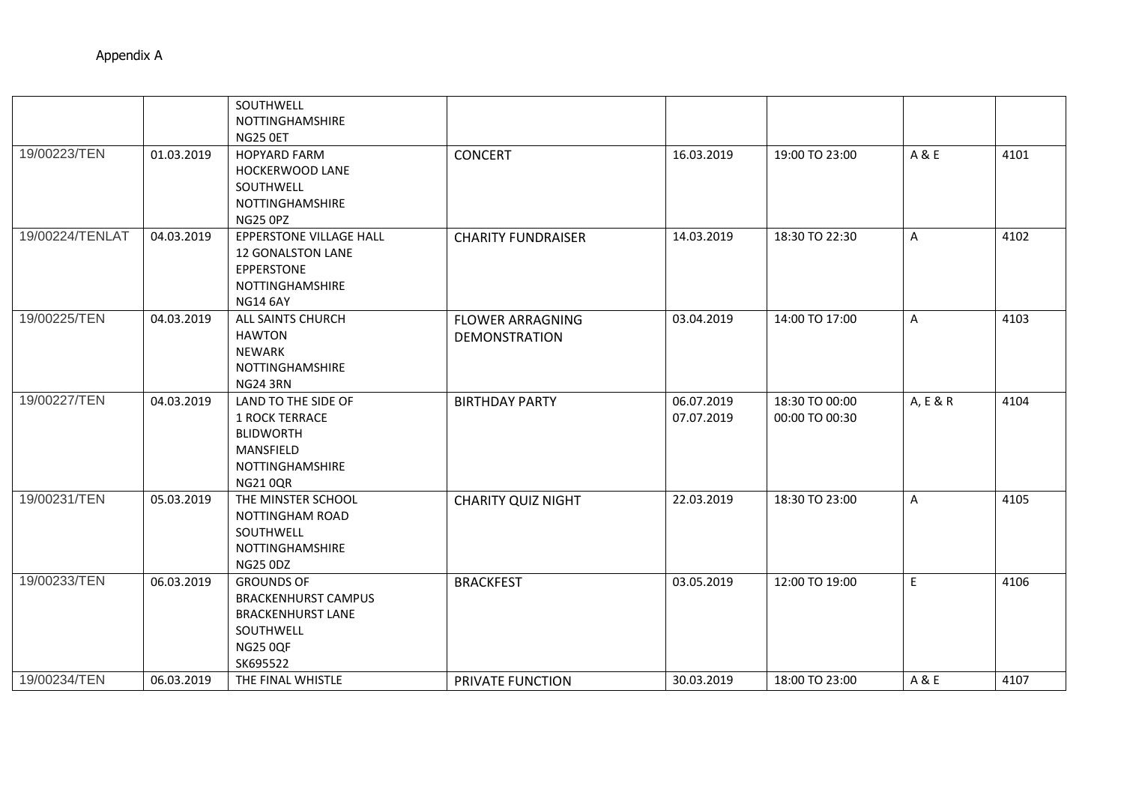|                 |            | SOUTHWELL<br>NOTTINGHAMSHIRE<br>NG25 OET                                                                                |                                                 |                          |                                  |              |      |
|-----------------|------------|-------------------------------------------------------------------------------------------------------------------------|-------------------------------------------------|--------------------------|----------------------------------|--------------|------|
| 19/00223/TEN    | 01.03.2019 | <b>HOPYARD FARM</b><br>HOCKERWOOD LANE<br>SOUTHWELL<br>NOTTINGHAMSHIRE<br>NG25 OPZ                                      | <b>CONCERT</b>                                  | 16.03.2019               | 19:00 TO 23:00                   | A & E        | 4101 |
| 19/00224/TENLAT | 04.03.2019 | EPPERSTONE VILLAGE HALL<br><b>12 GONALSTON LANE</b><br>EPPERSTONE<br>NOTTINGHAMSHIRE<br><b>NG14 6AY</b>                 | <b>CHARITY FUNDRAISER</b>                       | 14.03.2019               | 18:30 TO 22:30                   | $\mathsf{A}$ | 4102 |
| 19/00225/TEN    | 04.03.2019 | ALL SAINTS CHURCH<br><b>HAWTON</b><br>NEWARK<br>NOTTINGHAMSHIRE<br><b>NG24 3RN</b>                                      | <b>FLOWER ARRAGNING</b><br><b>DEMONSTRATION</b> | 03.04.2019               | 14:00 TO 17:00                   | A            | 4103 |
| 19/00227/TEN    | 04.03.2019 | LAND TO THE SIDE OF<br><b>1 ROCK TERRACE</b><br><b>BLIDWORTH</b><br>MANSFIELD<br>NOTTINGHAMSHIRE<br><b>NG210QR</b>      | <b>BIRTHDAY PARTY</b>                           | 06.07.2019<br>07.07.2019 | 18:30 TO 00:00<br>00:00 TO 00:30 | A, E & R     | 4104 |
| 19/00231/TEN    | 05.03.2019 | THE MINSTER SCHOOL<br><b>NOTTINGHAM ROAD</b><br>SOUTHWELL<br>NOTTINGHAMSHIRE<br><b>NG25 0DZ</b>                         | <b>CHARITY QUIZ NIGHT</b>                       | 22.03.2019               | 18:30 TO 23:00                   | A            | 4105 |
| 19/00233/TEN    | 06.03.2019 | <b>GROUNDS OF</b><br><b>BRACKENHURST CAMPUS</b><br><b>BRACKENHURST LANE</b><br>SOUTHWELL<br><b>NG25 0QF</b><br>SK695522 | <b>BRACKFEST</b>                                | 03.05.2019               | 12:00 TO 19:00                   | E            | 4106 |
| 19/00234/TEN    | 06.03.2019 | THE FINAL WHISTLE                                                                                                       | PRIVATE FUNCTION                                | 30.03.2019               | 18:00 TO 23:00                   | A & E        | 4107 |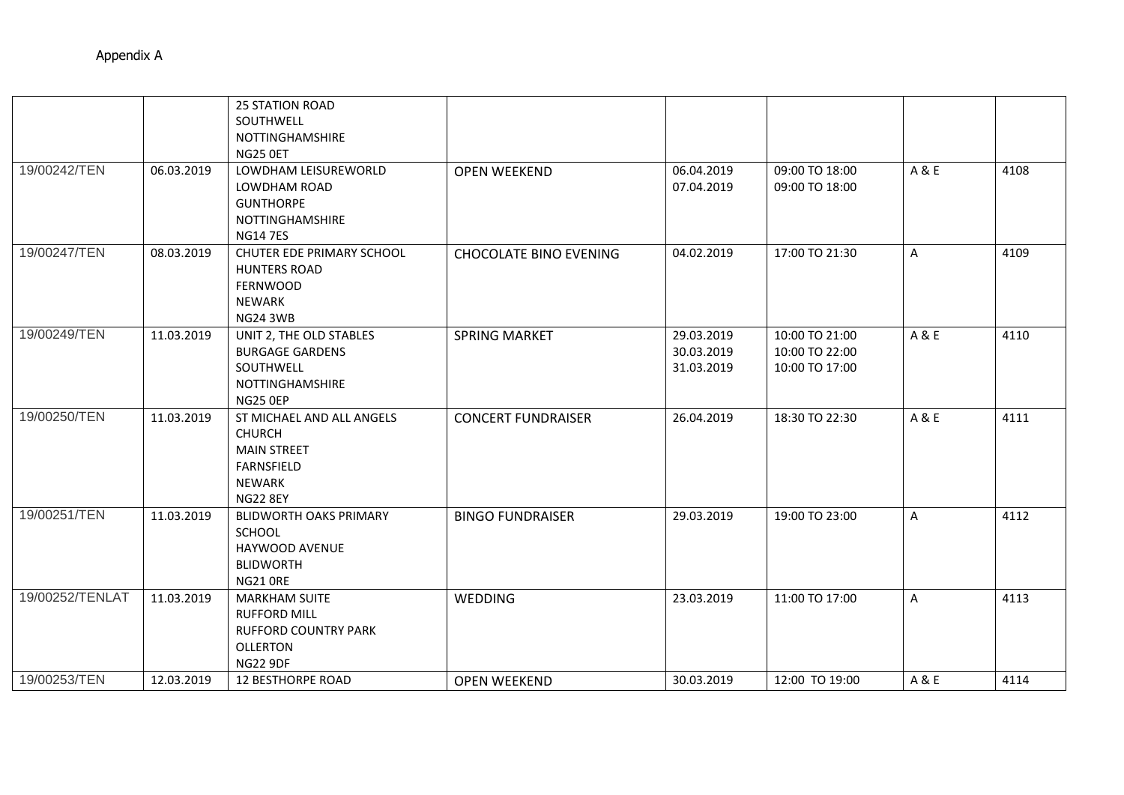|                 |            | <b>25 STATION ROAD</b>        |                               |            |                |              |      |
|-----------------|------------|-------------------------------|-------------------------------|------------|----------------|--------------|------|
|                 |            | SOUTHWELL                     |                               |            |                |              |      |
|                 |            | NOTTINGHAMSHIRE               |                               |            |                |              |      |
|                 |            | NG25 OET                      |                               |            |                |              |      |
| 19/00242/TEN    | 06.03.2019 | LOWDHAM LEISUREWORLD          | <b>OPEN WEEKEND</b>           | 06.04.2019 | 09:00 TO 18:00 | A & E        | 4108 |
|                 |            | LOWDHAM ROAD                  |                               | 07.04.2019 | 09:00 TO 18:00 |              |      |
|                 |            | <b>GUNTHORPE</b>              |                               |            |                |              |      |
|                 |            | <b>NOTTINGHAMSHIRE</b>        |                               |            |                |              |      |
|                 |            | <b>NG147ES</b>                |                               |            |                |              |      |
| 19/00247/TEN    | 08.03.2019 | CHUTER EDE PRIMARY SCHOOL     | <b>CHOCOLATE BINO EVENING</b> | 04.02.2019 | 17:00 TO 21:30 | A            | 4109 |
|                 |            | <b>HUNTERS ROAD</b>           |                               |            |                |              |      |
|                 |            | <b>FERNWOOD</b>               |                               |            |                |              |      |
|                 |            | NEWARK                        |                               |            |                |              |      |
|                 |            | <b>NG24 3WB</b>               |                               |            |                |              |      |
| 19/00249/TEN    | 11.03.2019 | UNIT 2, THE OLD STABLES       | <b>SPRING MARKET</b>          | 29.03.2019 | 10:00 TO 21:00 | A & E        | 4110 |
|                 |            | <b>BURGAGE GARDENS</b>        |                               | 30.03.2019 | 10:00 TO 22:00 |              |      |
|                 |            | SOUTHWELL                     |                               | 31.03.2019 | 10:00 TO 17:00 |              |      |
|                 |            | NOTTINGHAMSHIRE               |                               |            |                |              |      |
|                 |            | <b>NG25 0EP</b>               |                               |            |                |              |      |
| 19/00250/TEN    | 11.03.2019 | ST MICHAEL AND ALL ANGELS     | <b>CONCERT FUNDRAISER</b>     | 26.04.2019 | 18:30 TO 22:30 | A & E        | 4111 |
|                 |            | <b>CHURCH</b>                 |                               |            |                |              |      |
|                 |            | <b>MAIN STREET</b>            |                               |            |                |              |      |
|                 |            | FARNSFIELD                    |                               |            |                |              |      |
|                 |            | NEWARK                        |                               |            |                |              |      |
|                 |            | <b>NG22 8EY</b>               |                               |            |                |              |      |
| 19/00251/TEN    | 11.03.2019 | <b>BLIDWORTH OAKS PRIMARY</b> | <b>BINGO FUNDRAISER</b>       | 29.03.2019 | 19:00 TO 23:00 | $\mathsf{A}$ | 4112 |
|                 |            | SCHOOL                        |                               |            |                |              |      |
|                 |            | HAYWOOD AVENUE                |                               |            |                |              |      |
|                 |            | <b>BLIDWORTH</b>              |                               |            |                |              |      |
|                 |            | <b>NG21 ORE</b>               |                               |            |                |              |      |
| 19/00252/TENLAT | 11.03.2019 | <b>MARKHAM SUITE</b>          | <b>WEDDING</b>                | 23.03.2019 | 11:00 TO 17:00 | $\mathsf{A}$ | 4113 |
|                 |            | <b>RUFFORD MILL</b>           |                               |            |                |              |      |
|                 |            | <b>RUFFORD COUNTRY PARK</b>   |                               |            |                |              |      |
|                 |            | <b>OLLERTON</b>               |                               |            |                |              |      |
|                 |            | <b>NG22 9DF</b>               |                               |            |                |              |      |
| 19/00253/TEN    | 12.03.2019 | <b>12 BESTHORPE ROAD</b>      | <b>OPEN WEEKEND</b>           | 30.03.2019 | 12:00 TO 19:00 | A&E          | 4114 |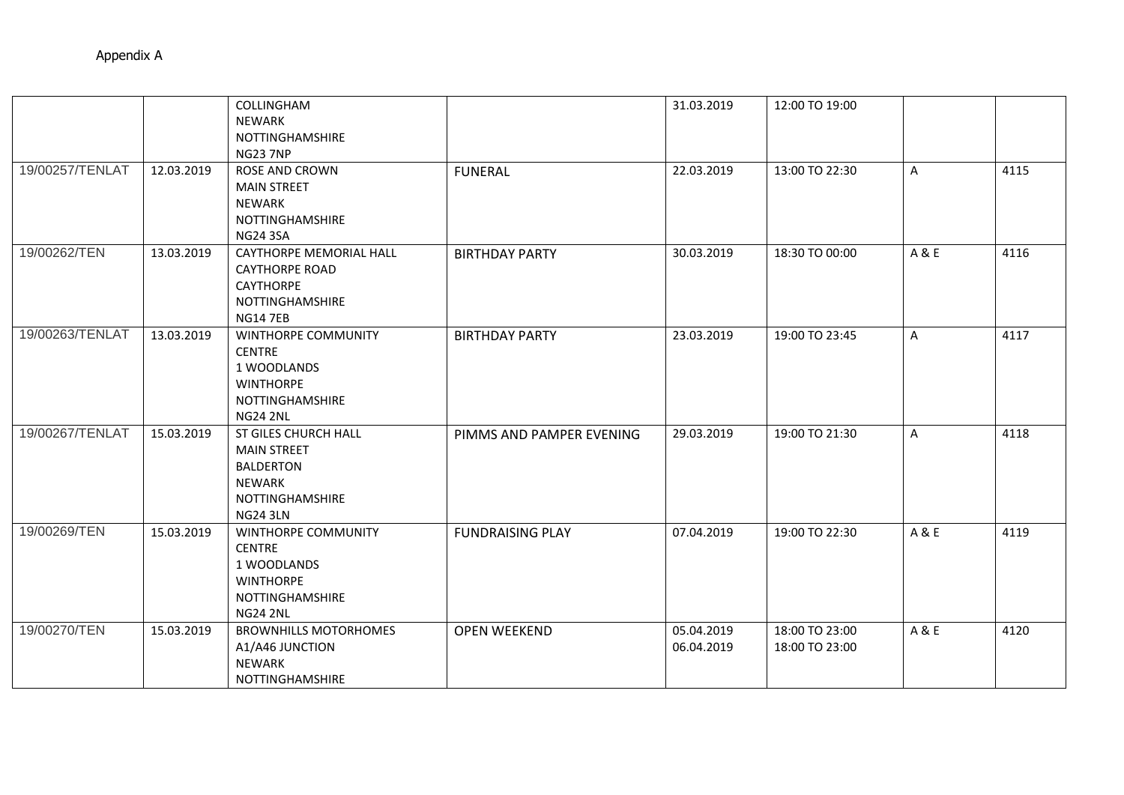|                 |            | COLLINGHAM<br>NEWARK<br>NOTTINGHAMSHIRE<br><b>NG23 7NP</b>                                                        |                          | 31.03.2019               | 12:00 TO 19:00                   |              |      |
|-----------------|------------|-------------------------------------------------------------------------------------------------------------------|--------------------------|--------------------------|----------------------------------|--------------|------|
| 19/00257/TENLAT | 12.03.2019 | <b>ROSE AND CROWN</b><br><b>MAIN STREET</b><br><b>NEWARK</b><br>NOTTINGHAMSHIRE<br><b>NG24 3SA</b>                | <b>FUNERAL</b>           | 22.03.2019               | 13:00 TO 22:30                   | A            | 4115 |
| 19/00262/TEN    | 13.03.2019 | <b>CAYTHORPE MEMORIAL HALL</b><br><b>CAYTHORPE ROAD</b><br><b>CAYTHORPE</b><br>NOTTINGHAMSHIRE<br><b>NG14 7EB</b> | <b>BIRTHDAY PARTY</b>    | 30.03.2019               | 18:30 TO 00:00                   | A & E        | 4116 |
| 19/00263/TENLAT | 13.03.2019 | WINTHORPE COMMUNITY<br><b>CENTRE</b><br>1 WOODLANDS<br><b>WINTHORPE</b><br>NOTTINGHAMSHIRE<br><b>NG24 2NL</b>     | <b>BIRTHDAY PARTY</b>    | 23.03.2019               | 19:00 TO 23:45                   | $\mathsf{A}$ | 4117 |
| 19/00267/TENLAT | 15.03.2019 | ST GILES CHURCH HALL<br><b>MAIN STREET</b><br><b>BALDERTON</b><br>NEWARK<br>NOTTINGHAMSHIRE<br><b>NG24 3LN</b>    | PIMMS AND PAMPER EVENING | 29.03.2019               | 19:00 TO 21:30                   | A            | 4118 |
| 19/00269/TEN    | 15.03.2019 | WINTHORPE COMMUNITY<br><b>CENTRE</b><br>1 WOODLANDS<br><b>WINTHORPE</b><br>NOTTINGHAMSHIRE<br><b>NG24 2NL</b>     | <b>FUNDRAISING PLAY</b>  | 07.04.2019               | 19:00 TO 22:30                   | A & E        | 4119 |
| 19/00270/TEN    | 15.03.2019 | <b>BROWNHILLS MOTORHOMES</b><br>A1/A46 JUNCTION<br><b>NEWARK</b><br>NOTTINGHAMSHIRE                               | <b>OPEN WEEKEND</b>      | 05.04.2019<br>06.04.2019 | 18:00 TO 23:00<br>18:00 TO 23:00 | A & E        | 4120 |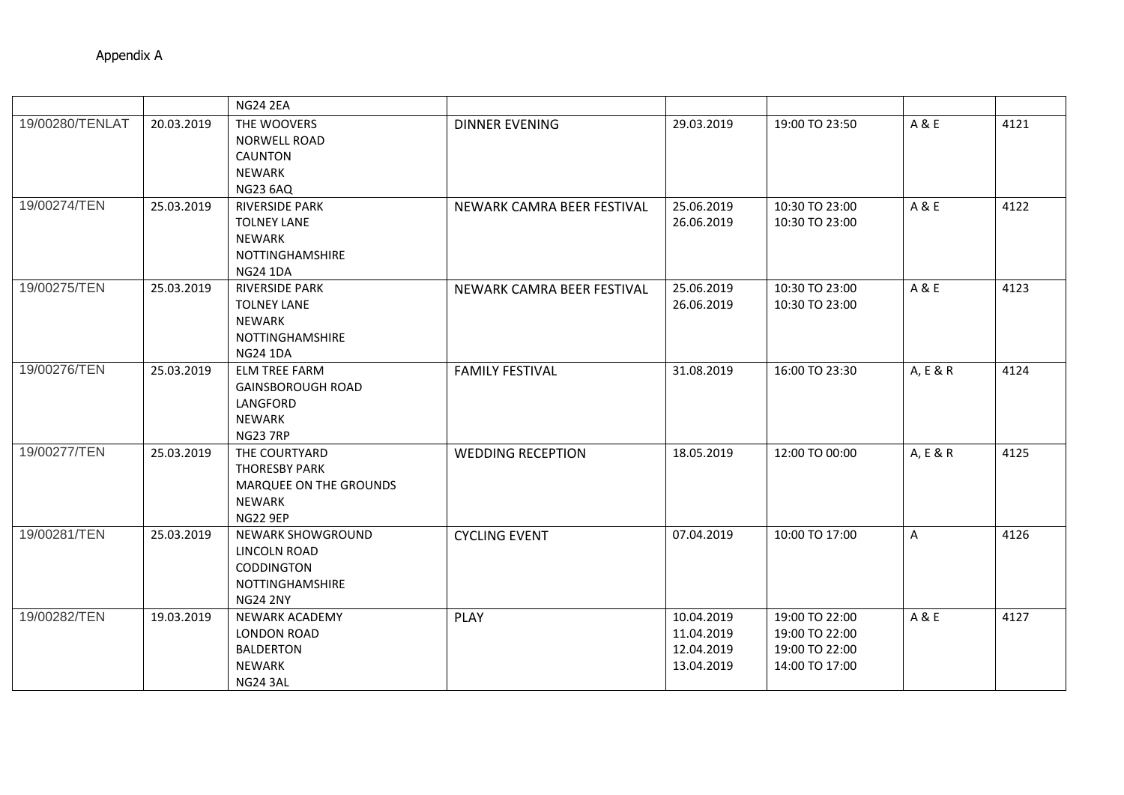|                 |            | <b>NG24 2EA</b>                                                                                           |                            |                                                      |                                                                      |          |      |
|-----------------|------------|-----------------------------------------------------------------------------------------------------------|----------------------------|------------------------------------------------------|----------------------------------------------------------------------|----------|------|
| 19/00280/TENLAT | 20.03.2019 | THE WOOVERS<br><b>NORWELL ROAD</b><br><b>CAUNTON</b><br>NEWARK<br><b>NG23 6AQ</b>                         | <b>DINNER EVENING</b>      | 29.03.2019                                           | 19:00 TO 23:50                                                       | A & E    | 4121 |
| 19/00274/TEN    | 25.03.2019 | <b>RIVERSIDE PARK</b><br><b>TOLNEY LANE</b><br><b>NEWARK</b><br><b>NOTTINGHAMSHIRE</b><br><b>NG24 1DA</b> | NEWARK CAMRA BEER FESTIVAL | 25.06.2019<br>26.06.2019                             | 10:30 TO 23:00<br>10:30 TO 23:00                                     | A & E    | 4122 |
| 19/00275/TEN    | 25.03.2019 | <b>RIVERSIDE PARK</b><br><b>TOLNEY LANE</b><br><b>NEWARK</b><br><b>NOTTINGHAMSHIRE</b><br><b>NG24 1DA</b> | NEWARK CAMRA BEER FESTIVAL | 25.06.2019<br>26.06.2019                             | 10:30 TO 23:00<br>10:30 TO 23:00                                     | A & E    | 4123 |
| 19/00276/TEN    | 25.03.2019 | <b>ELM TREE FARM</b><br><b>GAINSBOROUGH ROAD</b><br>LANGFORD<br><b>NEWARK</b><br><b>NG23 7RP</b>          | <b>FAMILY FESTIVAL</b>     | 31.08.2019                                           | 16:00 TO 23:30                                                       | A, E & R | 4124 |
| 19/00277/TEN    | 25.03.2019 | THE COURTYARD<br><b>THORESBY PARK</b><br>MARQUEE ON THE GROUNDS<br><b>NEWARK</b><br><b>NG22 9EP</b>       | <b>WEDDING RECEPTION</b>   | 18.05.2019                                           | 12:00 TO 00:00                                                       | A, E & R | 4125 |
| 19/00281/TEN    | 25.03.2019 | NEWARK SHOWGROUND<br>LINCOLN ROAD<br>CODDINGTON<br><b>NOTTINGHAMSHIRE</b><br><b>NG24 2NY</b>              | <b>CYCLING EVENT</b>       | 07.04.2019                                           | 10:00 TO 17:00                                                       | A        | 4126 |
| 19/00282/TEN    | 19.03.2019 | <b>NEWARK ACADEMY</b><br><b>LONDON ROAD</b><br><b>BALDERTON</b><br>NEWARK<br>NG24 3AL                     | <b>PLAY</b>                | 10.04.2019<br>11.04.2019<br>12.04.2019<br>13.04.2019 | 19:00 TO 22:00<br>19:00 TO 22:00<br>19:00 TO 22:00<br>14:00 TO 17:00 | A & E    | 4127 |